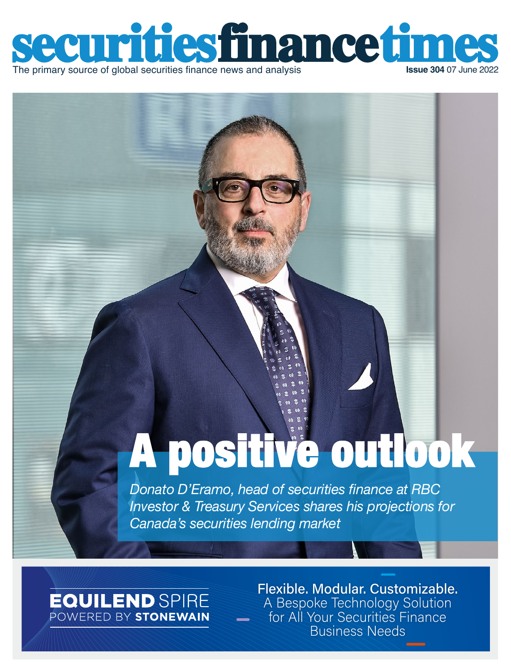

# A positive outlook

*Donato D'Eramo, head of securities finance at RBC Investor & Treasury Services shares his projections for Canada's securities lending market*

### **EQUILEND** SPIRE POWERED BY STONEWAIN

[Flexible. Modular. Customizable.](https://www.equilend.com/services/equilend-spire/)  A Bespoke Technology Solution for All Your Securities Finance Business Needs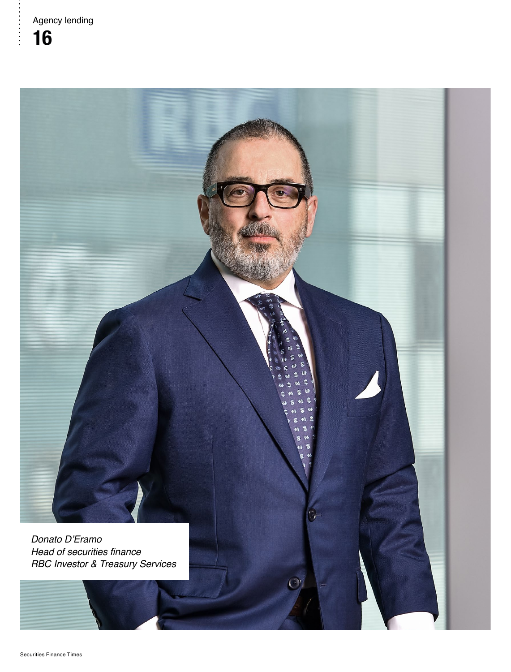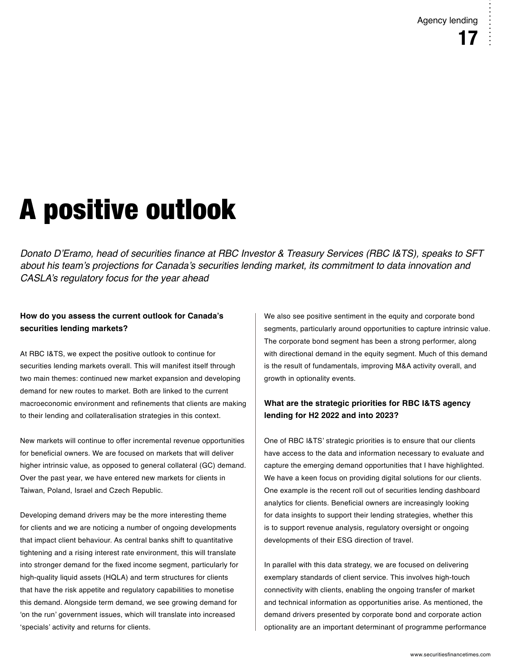## A positive outlook

Donato D'Eramo, head of securities finance at RBC Investor & Treasury Services (RBC I&TS), speaks to SFT about his team's projections for Canada's securities lending market, its commitment to data innovation and CASLA's regulatory focus for the year ahead

#### **How do you assess the current outlook for Canada's securities lending markets?**

At RBC I&TS, we expect the positive outlook to continue for securities lending markets overall. This will manifest itself through two main themes: continued new market expansion and developing demand for new routes to market. Both are linked to the current macroeconomic environment and refinements that clients are making to their lending and collateralisation strategies in this context.

New markets will continue to offer incremental revenue opportunities for beneficial owners. We are focused on markets that will deliver higher intrinsic value, as opposed to general collateral (GC) demand. Over the past year, we have entered new markets for clients in Taiwan, Poland, Israel and Czech Republic.

Developing demand drivers may be the more interesting theme for clients and we are noticing a number of ongoing developments that impact client behaviour. As central banks shift to quantitative tightening and a rising interest rate environment, this will translate into stronger demand for the fixed income segment, particularly for high-quality liquid assets (HQLA) and term structures for clients that have the risk appetite and regulatory capabilities to monetise this demand. Alongside term demand, we see growing demand for 'on the run' government issues, which will translate into increased 'specials' activity and returns for clients.

We also see positive sentiment in the equity and corporate bond segments, particularly around opportunities to capture intrinsic value. The corporate bond segment has been a strong performer, along with directional demand in the equity segment. Much of this demand is the result of fundamentals, improving M&A activity overall, and growth in optionality events.

#### **What are the strategic priorities for RBC I&TS agency lending for H2 2022 and into 2023?**

One of RBC I&TS' strategic priorities is to ensure that our clients have access to the data and information necessary to evaluate and capture the emerging demand opportunities that I have highlighted. We have a keen focus on providing digital solutions for our clients. One example is the recent roll out of securities lending dashboard analytics for clients. Beneficial owners are increasingly looking for data insights to support their lending strategies, whether this is to support revenue analysis, regulatory oversight or ongoing developments of their ESG direction of travel.

In parallel with this data strategy, we are focused on delivering exemplary standards of client service. This involves high-touch connectivity with clients, enabling the ongoing transfer of market and technical information as opportunities arise. As mentioned, the demand drivers presented by corporate bond and corporate action optionality are an important determinant of programme performance